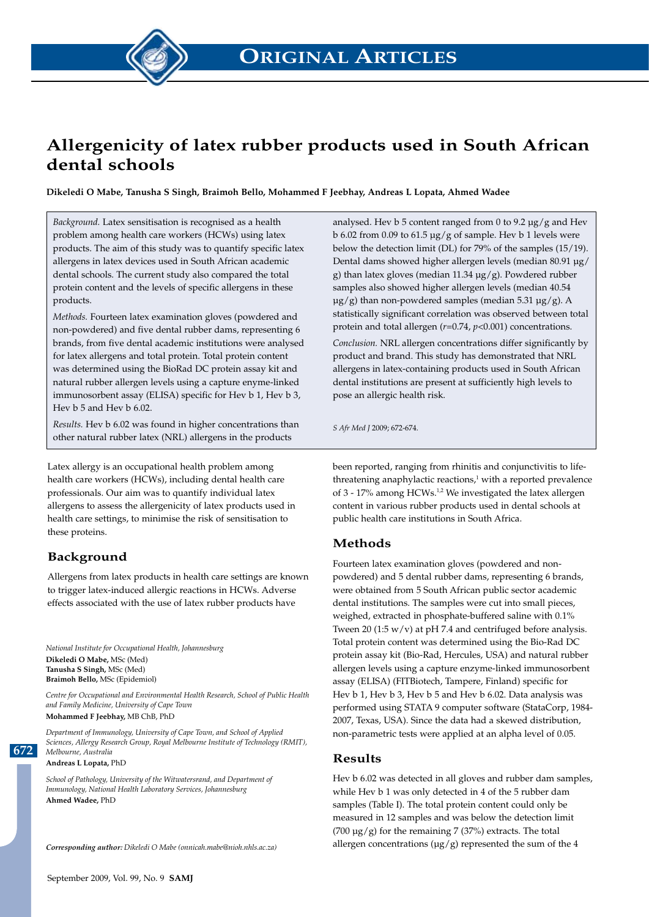

# **Allergenicity of latex rubber products used in South African dental schools**

**Dikeledi O Mabe, Tanusha S Singh, Braimoh Bello, Mohammed F Jeebhay, Andreas L Lopata, Ahmed Wadee**

*Background.* Latex sensitisation is recognised as a health problem among health care workers (HCWs) using latex products. The aim of this study was to quantify specific latex allergens in latex devices used in South African academic dental schools. The current study also compared the total protein content and the levels of specific allergens in these products.

*Methods.* Fourteen latex examination gloves (powdered and non-powdered) and five dental rubber dams, representing 6 brands, from five dental academic institutions were analysed for latex allergens and total protein. Total protein content was determined using the BioRad DC protein assay kit and natural rubber allergen levels using a capture enyme-linked immunosorbent assay (ELISA) specific for Hev b 1, Hev b 3, Hev b 5 and Hev b 6.02.

*Results.* Hev b 6.02 was found in higher concentrations than other natural rubber latex (NRL) allergens in the products

Latex allergy is an occupational health problem among health care workers (HCWs), including dental health care professionals. Our aim was to quantify individual latex allergens to assess the allergenicity of latex products used in health care settings, to minimise the risk of sensitisation to these proteins.

# **Background**

Allergens from latex products in health care settings are known to trigger latex-induced allergic reactions in HCWs. Adverse effects associated with the use of latex rubber products have

*National Institute for Occupational Health, Johannesburg* **Dikeledi O Mabe,** MSc (Med) **Tanusha S Singh,** MSc (Med) **Braimoh Bello,** MSc (Epidemiol)

*Centre for Occupational and Environmental Health Research, School of Public Health and Family Medicine, University of Cape Town*

**Mohammed F Jeebhay,** MB ChB, PhD

*Department of Immunology, University of Cape Town, and School of Applied Sciences, Allergy Research Group, Royal Melbourne Institute of Technology (RMIT), Melbourne, Australia*

**Andreas L Lopata,** PhD

**672**

*School of Pathology, University of the Witwatersrand, and Department of Immunology, National Health Laboratory Services, Johannesburg* **Ahmed Wadee,** PhD

*Corresponding author: Dikeledi O Mabe (onnicah.mabe@nioh.nhls.ac.za)*

analysed. Hev  $b$  5 content ranged from 0 to 9.2  $\mu$ g/g and Hev b 6.02 from 0.09 to 61.5  $\mu$ g/g of sample. Hev b 1 levels were below the detection limit (DL) for 79% of the samples (15/19). Dental dams showed higher allergen levels (median 80.91 µg/ g) than latex gloves (median 11.34 µg/g). Powdered rubber samples also showed higher allergen levels (median 40.54  $\mu$ g/g) than non-powdered samples (median 5.31  $\mu$ g/g). A statistically significant correlation was observed between total protein and total allergen (*r*=0.74, *p*<0.001) concentrations. *Conclusion.* NRL allergen concentrations differ significantly by product and brand. This study has demonstrated that NRL allergens in latex-containing products used in South African dental institutions are present at sufficiently high levels to pose an allergic health risk.

*S Afr Med J* 2009; 672-674.

been reported, ranging from rhinitis and conjunctivitis to lifethreatening anaphylactic reactions, $1$  with a reported prevalence of 3 - 17% among HCWs.<sup>1,2</sup> We investigated the latex allergen content in various rubber products used in dental schools at public health care institutions in South Africa.

#### **Methods**

Fourteen latex examination gloves (powdered and nonpowdered) and 5 dental rubber dams, representing 6 brands, were obtained from 5 South African public sector academic dental institutions. The samples were cut into small pieces, weighed, extracted in phosphate-buffered saline with 0.1% Tween 20 (1:5  $w/v$ ) at pH 7.4 and centrifuged before analysis. Total protein content was determined using the Bio-Rad DC protein assay kit (Bio-Rad, Hercules, USA) and natural rubber allergen levels using a capture enzyme-linked immunosorbent assay (ELISA) (FITBiotech, Tampere, Finland) specific for Hev b 1, Hev b 3, Hev b 5 and Hev b 6.02. Data analysis was performed using STATA 9 computer software (StataCorp, 1984- 2007, Texas, USA). Since the data had a skewed distribution, non-parametric tests were applied at an alpha level of 0.05.

#### **Results**

Hev b 6.02 was detected in all gloves and rubber dam samples, while Hev b 1 was only detected in 4 of the 5 rubber dam samples (Table I). The total protein content could only be measured in 12 samples and was below the detection limit (700  $\mu$ g/g) for the remaining 7 (37%) extracts. The total allergen concentrations  $(\mu g/g)$  represented the sum of the 4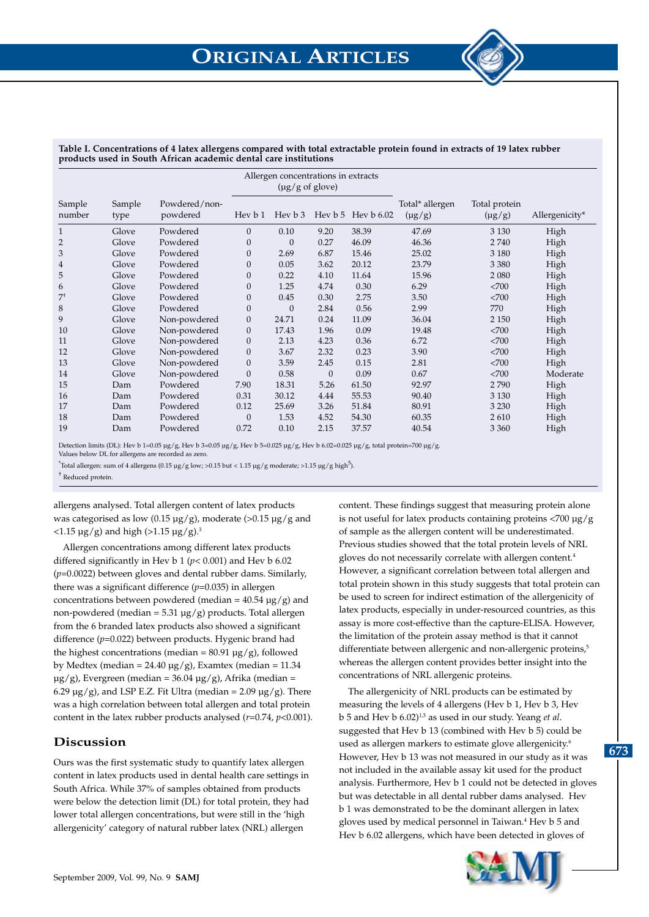|                  |                |                           | Allergen concentrations in extracts<br>$(\mu g/g \text{ of}glove)$ |          |          |                          |                                |                              |                |
|------------------|----------------|---------------------------|--------------------------------------------------------------------|----------|----------|--------------------------|--------------------------------|------------------------------|----------------|
| Sample<br>number | Sample<br>type | Powdered/non-<br>powdered | Hev $b1$                                                           | Hey b 3  |          | Hev $b\ 5$ Hev $b\ 6.02$ | Total* allergen<br>$(\mu g/g)$ | Total protein<br>$(\mu g/g)$ | Allergenicity* |
| 1                | Glove          | Powdered                  | $\boldsymbol{0}$                                                   | 0.10     | 9.20     | 38.39                    | 47.69                          | 3 1 3 0                      | High           |
| $\overline{2}$   | Glove          | Powdered                  | $\mathbf{0}$                                                       | $\theta$ | 0.27     | 46.09                    | 46.36                          | 2740                         | High           |
| 3                | Glove          | Powdered                  | $\mathbf{0}$                                                       | 2.69     | 6.87     | 15.46                    | 25.02                          | 3 1 8 0                      | High           |
| $\overline{4}$   | Glove          | Powdered                  | $\boldsymbol{0}$                                                   | 0.05     | 3.62     | 20.12                    | 23.79                          | 3 3 8 0                      | High           |
| 5                | Glove          | Powdered                  | $\boldsymbol{0}$                                                   | 0.22     | 4.10     | 11.64                    | 15.96                          | 2 0 8 0                      | High           |
| 6                | Glove          | Powdered                  | $\boldsymbol{0}$                                                   | 1.25     | 4.74     | 0.30                     | 6.29                           | <700                         | High           |
| $7^{\dagger}$    | Glove          | Powdered                  | $\boldsymbol{0}$                                                   | 0.45     | 0.30     | 2.75                     | 3.50                           | <700                         | High           |
| 8                | Glove          | Powdered                  | $\boldsymbol{0}$                                                   | $\theta$ | 2.84     | 0.56                     | 2.99                           | 770                          | High           |
| 9                | Glove          | Non-powdered              | $\boldsymbol{0}$                                                   | 24.71    | 0.24     | 11.09                    | 36.04                          | 2 1 5 0                      | High           |
| 10               | Glove          | Non-powdered              | $\boldsymbol{0}$                                                   | 17.43    | 1.96     | 0.09                     | 19.48                          | <700                         | High           |
| 11               | Glove          | Non-powdered              | $\boldsymbol{0}$                                                   | 2.13     | 4.23     | 0.36                     | 6.72                           | <700                         | High           |
| 12               | Glove          | Non-powdered              | $\boldsymbol{0}$                                                   | 3.67     | 2.32     | 0.23                     | 3.90                           | <700                         | High           |
| 13               | Glove          | Non-powdered              | $\boldsymbol{0}$                                                   | 3.59     | 2.45     | 0.15                     | 2.81                           | <700                         | High           |
| 14               | Glove          | Non-powdered              | $\mathbf{0}$                                                       | 0.58     | $\theta$ | 0.09                     | 0.67                           | <700                         | Moderate       |
| 15               | Dam            | Powdered                  | 7.90                                                               | 18.31    | 5.26     | 61.50                    | 92.97                          | 2790                         | High           |
| 16               | Dam            | Powdered                  | 0.31                                                               | 30.12    | 4.44     | 55.53                    | 90.40                          | 3 1 3 0                      | High           |
| 17               | Dam            | Powdered                  | 0.12                                                               | 25.69    | 3.26     | 51.84                    | 80.91                          | 3 2 3 0                      | High           |
| 18               | Dam            | Powdered                  | $\mathbf{0}$                                                       | 1.53     | 4.52     | 54.30                    | 60.35                          | 2610                         | High           |
| 19               | Dam            | Powdered                  | 0.72                                                               | 0.10     | 2.15     | 37.57                    | 40.54                          | 3 3 6 0                      | High           |

**Table I. Concentrations of 4 latex allergens compared with total extractable protein found in extracts of 19 latex rubber products used in South African academic dental care institutions** 

Detection limits (DL): Hev b 1=0.05 µg/g, Hev b 3=0.05 µg/g, Hev b 5=0.025 µg/g, Hev b 6.02=0.025 µg/g, total protein=700 µg/g.

Values below DL for allergens are recorded as zero.

 $^*$ Total allergen: sum of 4 allergens (0.15 µg/g low; >0.15 but < 1.15 µg/g moderate; >1.15 µg/g high<sup>5</sup>).

† Reduced protein.

allergens analysed. Total allergen content of latex products was categorised as low (0.15  $\mu$ g/g), moderate (>0.15  $\mu$ g/g and  $\langle 1.15 \,\mu g/g \rangle$  and high (>1.15  $\mu g/g$ ).<sup>3</sup>

Allergen concentrations among different latex products differed significantly in Hev b 1 (*p*< 0.001) and Hev b 6.02 (*p*=0.0022) between gloves and dental rubber dams. Similarly, there was a significant difference (*p*=0.035) in allergen concentrations between powdered (median =  $40.54 \text{ µg/g}$ ) and non-powdered (median =  $5.31 \mu g/g$ ) products. Total allergen from the 6 branded latex products also showed a significant difference (*p*=0.022) between products. Hygenic brand had the highest concentrations (median =  $80.91 \,\mu g/g$ ), followed by Medtex (median =  $24.40 \mu g/g$ ), Examtex (median = 11.34  $\mu$ g/g), Evergreen (median = 36.04  $\mu$ g/g), Afrika (median = 6.29  $\mu$ g/g), and LSP E.Z. Fit Ultra (median = 2.09  $\mu$ g/g). There was a high correlation between total allergen and total protein content in the latex rubber products analysed (*r*=0.74, *p*<0.001).

# **Discussion**

Ours was the first systematic study to quantify latex allergen content in latex products used in dental health care settings in South Africa. While 37% of samples obtained from products were below the detection limit (DL) for total protein, they had lower total allergen concentrations, but were still in the 'high allergenicity' category of natural rubber latex (NRL) allergen

content. These findings suggest that measuring protein alone is not useful for latex products containing proteins <700 µg/g of sample as the allergen content will be underestimated. Previous studies showed that the total protein levels of NRL gloves do not necessarily correlate with allergen content.<sup>4</sup> However, a significant correlation between total allergen and total protein shown in this study suggests that total protein can be used to screen for indirect estimation of the allergenicity of latex products, especially in under-resourced countries, as this assay is more cost-effective than the capture-ELISA. However, the limitation of the protein assay method is that it cannot differentiate between allergenic and non-allergenic proteins,<sup>5</sup> whereas the allergen content provides better insight into the concentrations of NRL allergenic proteins.

The allergenicity of NRL products can be estimated by measuring the levels of 4 allergens (Hev b 1, Hev b 3, Hev b 5 and Hev b 6.02)1,3 as used in our study. Yeang *et al*. suggested that Hev b 13 (combined with Hev b 5) could be used as allergen markers to estimate glove allergenicity.<sup>6</sup> However, Hev b 13 was not measured in our study as it was not included in the available assay kit used for the product analysis. Furthermore, Hev b 1 could not be detected in gloves but was detectable in all dental rubber dams analysed. Hev b 1 was demonstrated to be the dominant allergen in latex gloves used by medical personnel in Taiwan.4 Hev b 5 and Hev b 6.02 allergens, which have been detected in gloves of



**673**